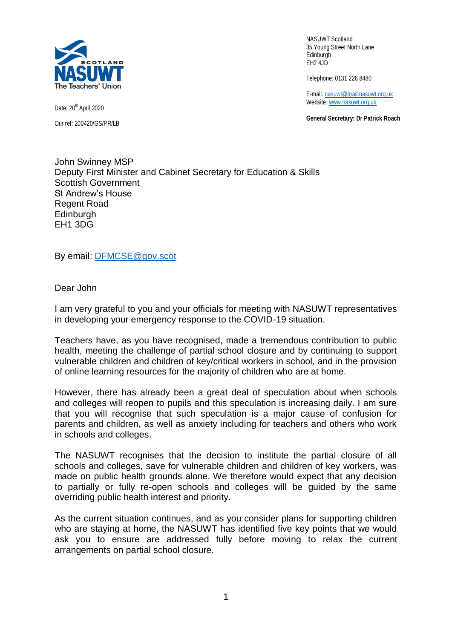

Date: 20<sup>th</sup> April 2020 Our ref: 200420/GS/PR/LB

NASUWT Scotland 35 Young Street North Lane Edinburgh EH2 4JD

Telephone: 0131 226 8480

E-mail: [nasuwt@mail.nasuwt.org.uk](mailto:nasuwt@mail.nasuwt.org.uk) Website[: www.nasuwt.org.uk](http://www.nasuwt.org.uk/)

**General Secretary: Dr Patrick Roach**

John Swinney MSP Deputy First Minister and Cabinet Secretary for Education & Skills Scottish Government St Andrew's House Regent Road **Edinburgh** EH1 3DG

By email: [DFMCSE@gov.scot](mailto:DFMCSE@gov.scot)

Dear John

I am very grateful to you and your officials for meeting with NASUWT representatives in developing your emergency response to the COVID-19 situation.

Teachers have, as you have recognised, made a tremendous contribution to public health, meeting the challenge of partial school closure and by continuing to support vulnerable children and children of key/critical workers in school, and in the provision of online learning resources for the majority of children who are at home.

However, there has already been a great deal of speculation about when schools and colleges will reopen to pupils and this speculation is increasing daily. I am sure that you will recognise that such speculation is a major cause of confusion for parents and children, as well as anxiety including for teachers and others who work in schools and colleges.

The NASUWT recognises that the decision to institute the partial closure of all schools and colleges, save for vulnerable children and children of key workers, was made on public health grounds alone. We therefore would expect that any decision to partially or fully re-open schools and colleges will be guided by the same overriding public health interest and priority.

As the current situation continues, and as you consider plans for supporting children who are staying at home, the NASUWT has identified five key points that we would ask you to ensure are addressed fully before moving to relax the current arrangements on partial school closure.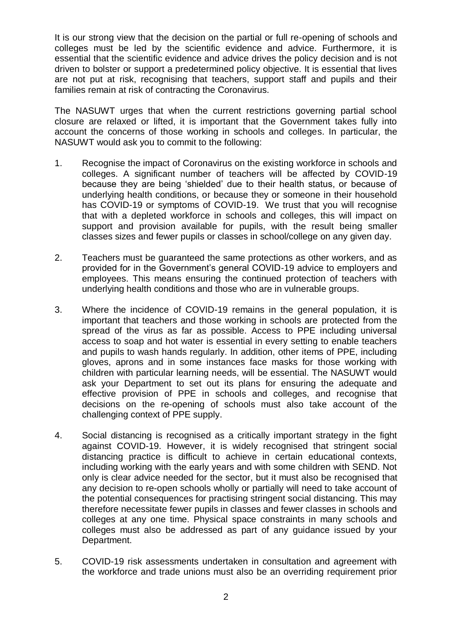It is our strong view that the decision on the partial or full re-opening of schools and colleges must be led by the scientific evidence and advice. Furthermore, it is essential that the scientific evidence and advice drives the policy decision and is not driven to bolster or support a predetermined policy objective. It is essential that lives are not put at risk, recognising that teachers, support staff and pupils and their families remain at risk of contracting the Coronavirus.

The NASUWT urges that when the current restrictions governing partial school closure are relaxed or lifted, it is important that the Government takes fully into account the concerns of those working in schools and colleges. In particular, the NASUWT would ask you to commit to the following:

- 1. Recognise the impact of Coronavirus on the existing workforce in schools and colleges. A significant number of teachers will be affected by COVID-19 because they are being 'shielded' due to their health status, or because of underlying health conditions, or because they or someone in their household has COVID-19 or symptoms of COVID-19. We trust that you will recognise that with a depleted workforce in schools and colleges, this will impact on support and provision available for pupils, with the result being smaller classes sizes and fewer pupils or classes in school/college on any given day.
- 2. Teachers must be guaranteed the same protections as other workers, and as provided for in the Government's general COVID-19 advice to employers and employees. This means ensuring the continued protection of teachers with underlying health conditions and those who are in vulnerable groups.
- 3. Where the incidence of COVID-19 remains in the general population, it is important that teachers and those working in schools are protected from the spread of the virus as far as possible. Access to PPE including universal access to soap and hot water is essential in every setting to enable teachers and pupils to wash hands regularly. In addition, other items of PPE, including gloves, aprons and in some instances face masks for those working with children with particular learning needs, will be essential. The NASUWT would ask your Department to set out its plans for ensuring the adequate and effective provision of PPE in schools and colleges, and recognise that decisions on the re-opening of schools must also take account of the challenging context of PPE supply.
- 4. Social distancing is recognised as a critically important strategy in the fight against COVID-19. However, it is widely recognised that stringent social distancing practice is difficult to achieve in certain educational contexts, including working with the early years and with some children with SEND. Not only is clear advice needed for the sector, but it must also be recognised that any decision to re-open schools wholly or partially will need to take account of the potential consequences for practising stringent social distancing. This may therefore necessitate fewer pupils in classes and fewer classes in schools and colleges at any one time. Physical space constraints in many schools and colleges must also be addressed as part of any guidance issued by your Department.
- 5. COVID-19 risk assessments undertaken in consultation and agreement with the workforce and trade unions must also be an overriding requirement prior